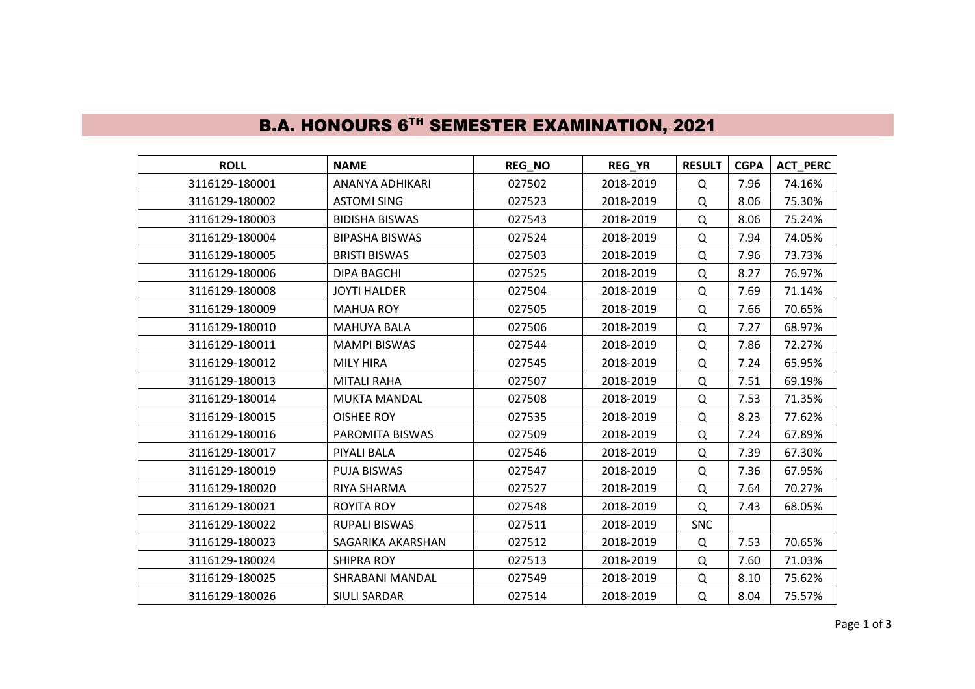| <b>ROLL</b>    | <b>NAME</b>           | REG_NO | REG_YR    | <b>RESULT</b> | <b>CGPA</b> | <b>ACT_PERC</b> |
|----------------|-----------------------|--------|-----------|---------------|-------------|-----------------|
| 3116129-180001 | ANANYA ADHIKARI       | 027502 | 2018-2019 | Q             | 7.96        | 74.16%          |
| 3116129-180002 | <b>ASTOMI SING</b>    | 027523 | 2018-2019 | Q             | 8.06        | 75.30%          |
| 3116129-180003 | <b>BIDISHA BISWAS</b> | 027543 | 2018-2019 | Q             | 8.06        | 75.24%          |
| 3116129-180004 | <b>BIPASHA BISWAS</b> | 027524 | 2018-2019 | Q             | 7.94        | 74.05%          |
| 3116129-180005 | <b>BRISTI BISWAS</b>  | 027503 | 2018-2019 | Q             | 7.96        | 73.73%          |
| 3116129-180006 | DIPA BAGCHI           | 027525 | 2018-2019 | Q             | 8.27        | 76.97%          |
| 3116129-180008 | <b>JOYTI HALDER</b>   | 027504 | 2018-2019 | Q             | 7.69        | 71.14%          |
| 3116129-180009 | <b>MAHUA ROY</b>      | 027505 | 2018-2019 | Q             | 7.66        | 70.65%          |
| 3116129-180010 | <b>MAHUYA BALA</b>    | 027506 | 2018-2019 | Q             | 7.27        | 68.97%          |
| 3116129-180011 | <b>MAMPI BISWAS</b>   | 027544 | 2018-2019 | Q             | 7.86        | 72.27%          |
| 3116129-180012 | <b>MILY HIRA</b>      | 027545 | 2018-2019 | Q             | 7.24        | 65.95%          |
| 3116129-180013 | <b>MITALI RAHA</b>    | 027507 | 2018-2019 | Q             | 7.51        | 69.19%          |
| 3116129-180014 | <b>MUKTA MANDAL</b>   | 027508 | 2018-2019 | Q             | 7.53        | 71.35%          |
| 3116129-180015 | <b>OISHEE ROY</b>     | 027535 | 2018-2019 | Q             | 8.23        | 77.62%          |
| 3116129-180016 | PAROMITA BISWAS       | 027509 | 2018-2019 | Q             | 7.24        | 67.89%          |
| 3116129-180017 | PIYALI BALA           | 027546 | 2018-2019 | Q             | 7.39        | 67.30%          |
| 3116129-180019 | PUJA BISWAS           | 027547 | 2018-2019 | Q             | 7.36        | 67.95%          |
| 3116129-180020 | RIYA SHARMA           | 027527 | 2018-2019 | Q             | 7.64        | 70.27%          |
| 3116129-180021 | <b>ROYITA ROY</b>     | 027548 | 2018-2019 | Q             | 7.43        | 68.05%          |
| 3116129-180022 | RUPALI BISWAS         | 027511 | 2018-2019 | <b>SNC</b>    |             |                 |
| 3116129-180023 | SAGARIKA AKARSHAN     | 027512 | 2018-2019 | Q             | 7.53        | 70.65%          |
| 3116129-180024 | <b>SHIPRA ROY</b>     | 027513 | 2018-2019 | Q             | 7.60        | 71.03%          |
| 3116129-180025 | SHRABANI MANDAL       | 027549 | 2018-2019 | Q             | 8.10        | 75.62%          |
| 3116129-180026 | <b>SIULI SARDAR</b>   | 027514 | 2018-2019 | Q             | 8.04        | 75.57%          |

## B.A. HONOURS 6<sup>TH</sup> SEMESTER EXAMINATION, 2021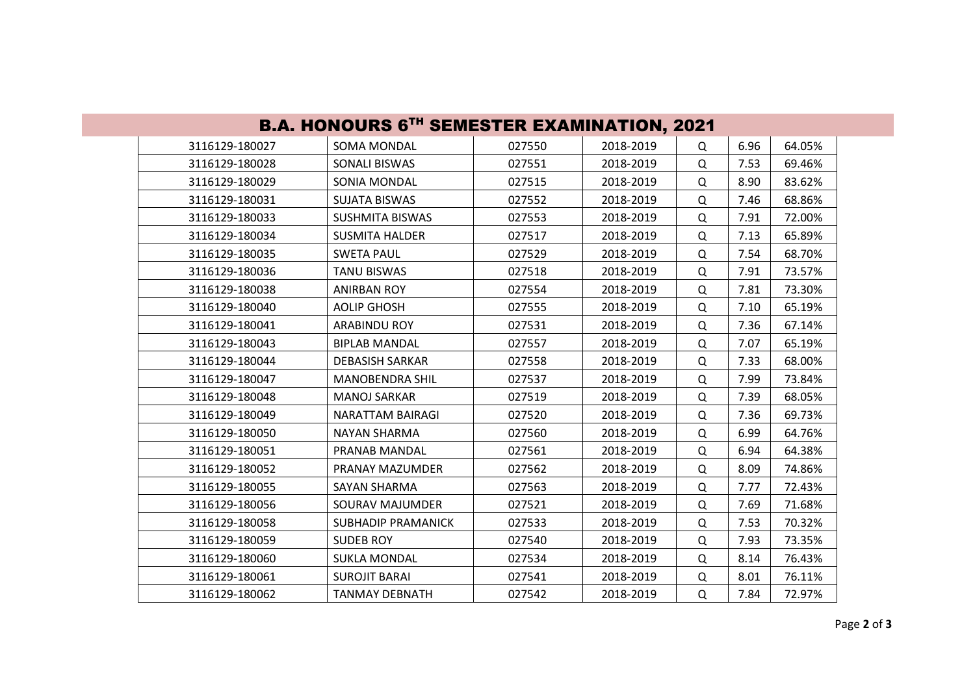| <b>B.A. HONOURS 6TH SEMESTER EXAMINATION, 2021</b> |                           |        |           |   |      |        |  |
|----------------------------------------------------|---------------------------|--------|-----------|---|------|--------|--|
| 3116129-180027                                     | <b>SOMA MONDAL</b>        | 027550 | 2018-2019 | Q | 6.96 | 64.05% |  |
| 3116129-180028                                     | SONALI BISWAS             | 027551 | 2018-2019 | Q | 7.53 | 69.46% |  |
| 3116129-180029                                     | SONIA MONDAL              | 027515 | 2018-2019 | Q | 8.90 | 83.62% |  |
| 3116129-180031                                     | <b>SUJATA BISWAS</b>      | 027552 | 2018-2019 | Q | 7.46 | 68.86% |  |
| 3116129-180033                                     | <b>SUSHMITA BISWAS</b>    | 027553 | 2018-2019 | Q | 7.91 | 72.00% |  |
| 3116129-180034                                     | <b>SUSMITA HALDER</b>     | 027517 | 2018-2019 | Q | 7.13 | 65.89% |  |
| 3116129-180035                                     | <b>SWETA PAUL</b>         | 027529 | 2018-2019 | Q | 7.54 | 68.70% |  |
| 3116129-180036                                     | <b>TANU BISWAS</b>        | 027518 | 2018-2019 | Q | 7.91 | 73.57% |  |
| 3116129-180038                                     | <b>ANIRBAN ROY</b>        | 027554 | 2018-2019 | Q | 7.81 | 73.30% |  |
| 3116129-180040                                     | <b>AOLIP GHOSH</b>        | 027555 | 2018-2019 | Q | 7.10 | 65.19% |  |
| 3116129-180041                                     | <b>ARABINDU ROY</b>       | 027531 | 2018-2019 | Q | 7.36 | 67.14% |  |
| 3116129-180043                                     | <b>BIPLAB MANDAL</b>      | 027557 | 2018-2019 | Q | 7.07 | 65.19% |  |
| 3116129-180044                                     | <b>DEBASISH SARKAR</b>    | 027558 | 2018-2019 | Q | 7.33 | 68.00% |  |
| 3116129-180047                                     | <b>MANOBENDRA SHIL</b>    | 027537 | 2018-2019 | Q | 7.99 | 73.84% |  |
| 3116129-180048                                     | <b>MANOJ SARKAR</b>       | 027519 | 2018-2019 | Q | 7.39 | 68.05% |  |
| 3116129-180049                                     | NARATTAM BAIRAGI          | 027520 | 2018-2019 | Q | 7.36 | 69.73% |  |
| 3116129-180050                                     | <b>NAYAN SHARMA</b>       | 027560 | 2018-2019 | Q | 6.99 | 64.76% |  |
| 3116129-180051                                     | PRANAB MANDAL             | 027561 | 2018-2019 | Q | 6.94 | 64.38% |  |
| 3116129-180052                                     | PRANAY MAZUMDER           | 027562 | 2018-2019 | Q | 8.09 | 74.86% |  |
| 3116129-180055                                     | SAYAN SHARMA              | 027563 | 2018-2019 | Q | 7.77 | 72.43% |  |
| 3116129-180056                                     | SOURAV MAJUMDER           | 027521 | 2018-2019 | Q | 7.69 | 71.68% |  |
| 3116129-180058                                     | <b>SUBHADIP PRAMANICK</b> | 027533 | 2018-2019 | Q | 7.53 | 70.32% |  |
| 3116129-180059                                     | <b>SUDEB ROY</b>          | 027540 | 2018-2019 | Q | 7.93 | 73.35% |  |
| 3116129-180060                                     | <b>SUKLA MONDAL</b>       | 027534 | 2018-2019 | Q | 8.14 | 76.43% |  |
| 3116129-180061                                     | <b>SUROJIT BARAI</b>      | 027541 | 2018-2019 | Q | 8.01 | 76.11% |  |
| 3116129-180062                                     | TANMAY DEBNATH            | 027542 | 2018-2019 | Q | 7.84 | 72.97% |  |